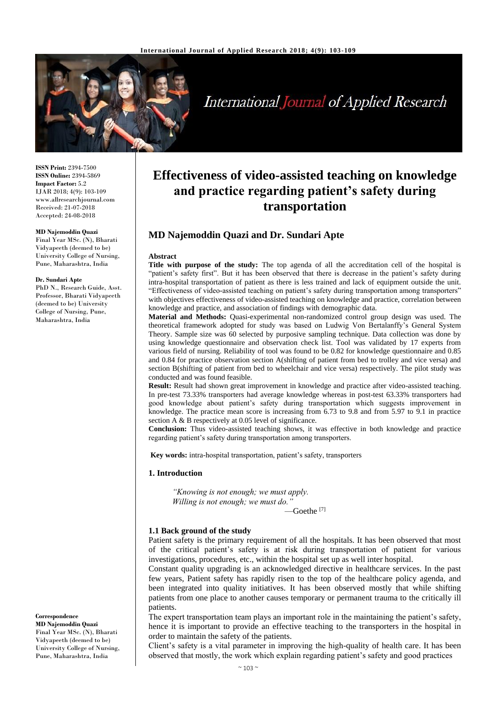

# International Journal of Applied Research

**ISSN Print:** 2394-7500 **ISSN Online:** 2394-5869 **Impact Factor:** 5.2 IJAR 2018; 4(9): 103-109 www.allresearchjournal.com Received: 21-07-2018 Accepted: 24-08-2018

#### **MD Najemoddin Quazi**

Final Year MSc. (N), Bharati Vidyapeeth (deemed to be) University College of Nursing, Pune, Maharashtra, India

#### **Dr. Sundari Apte**

PhD N., Research Guide, Asst. Professor, Bharati Vidyapeeth (deemed to be) University College of Nursing, Pune, Maharashtra, India

**Correspondence MD Najemoddin Quazi**

Final Year MSc. (N), Bharati Vidyapeeth (deemed to be) University College of Nursing, Pune, Maharashtra, India

# **Effectiveness of video-assisted teaching on knowledge and practice regarding patient's safety during transportation**

# **MD Najemoddin Quazi and Dr. Sundari Apte**

#### **Abstract**

**Title with purpose of the study:** The top agenda of all the accreditation cell of the hospital is "patient's safety first". But it has been observed that there is decrease in the patient's safety during intra-hospital transportation of patient as there is less trained and lack of equipment outside the unit. "Effectiveness of video-assisted teaching on patient's safety during transportation among transporters" with objectives effectiveness of video-assisted teaching on knowledge and practice, correlation between knowledge and practice, and association of findings with demographic data.

**Material and Methods:** Quasi-experimental non-randomized control group design was used. The theoretical framework adopted for study was based on Ludwig Von Bertalanffy's General System Theory. Sample size was 60 selected by purposive sampling technique. Data collection was done by using knowledge questionnaire and observation check list. Tool was validated by 17 experts from various field of nursing. Reliability of tool was found to be 0.82 for knowledge questionnaire and 0.85 and 0.84 for practice observation section A(shifting of patient from bed to trolley and vice versa) and section B(shifting of patient from bed to wheelchair and vice versa) respectively. The pilot study was conducted and was found feasible.

**Result:** Result had shown great improvement in knowledge and practice after video-assisted teaching. In pre-test 73.33% transporters had average knowledge whereas in post-test 63.33% transporters had good knowledge about patient's safety during transportation which suggests improvement in knowledge. The practice mean score is increasing from 6.73 to 9.8 and from 5.97 to 9.1 in practice section A & B respectively at 0.05 level of significance.

**Conclusion:** Thus video-assisted teaching shows, it was effective in both knowledge and practice regarding patient's safety during transportation among transporters.

**Key words:** intra-hospital transportation, patient's safety, transporters

#### **1. Introduction**

*"Knowing is not enough; we must apply. Willing is not enough; we must do."*

 $-$ Goethe  $^{[7]}$ 

# **1.1 Back ground of the study**

Patient safety is the primary requirement of all the hospitals. It has been observed that most of the critical patient's safety is at risk during transportation of patient for various investigations, procedures, etc., within the hospital set up as well inter hospital.

Constant quality upgrading is an acknowledged directive in healthcare services. In the past few years, Patient safety has rapidly risen to the top of the healthcare policy agenda, and been integrated into quality initiatives. It has been observed mostly that while shifting patients from one place to another causes temporary or permanent trauma to the critically ill patients.

The expert transportation team plays an important role in the maintaining the patient's safety, hence it is important to provide an effective teaching to the transporters in the hospital in order to maintain the safety of the patients.

Client's safety is a vital parameter in improving the high-quality of health care. It has been observed that mostly, the work which explain regarding patient's safety and good practices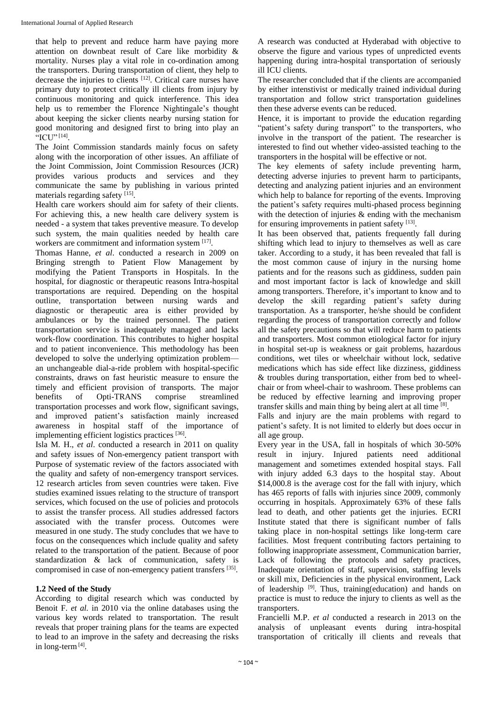that help to prevent and reduce harm have paying more attention on downbeat result of Care like morbidity & mortality. Nurses play a vital role in co-ordination among the transporters. During transportation of client, they help to decrease the injuries to clients [12] . Critical care nurses have primary duty to protect critically ill clients from injury by continuous monitoring and quick interference. This idea help us to remember the Florence Nightingale's thought about keeping the sicker clients nearby nursing station for good monitoring and designed first to bring into play an "ICU" [14] .

The Joint Commission standards mainly focus on safety along with the incorporation of other issues. An affiliate of the Joint Commission, Joint Commission Resources (JCR) provides various products and services and they communicate the same by publishing in various printed materials regarding safety [15].

Health care workers should aim for safety of their clients. For achieving this, a new health care delivery system is needed - a system that takes preventive measure. To develop such system, the main qualities needed by health care workers are commitment and information system [17].

Thomas Hanne, *et al*. conducted a research in 2009 on Bringing strength to Patient Flow Management by modifying the Patient Transports in Hospitals. In the hospital, for diagnostic or therapeutic reasons Intra-hospital transportations are required. Depending on the hospital outline, transportation between nursing wards and diagnostic or therapeutic area is either provided by ambulances or by the trained personnel. The patient transportation service is inadequately managed and lacks work-flow coordination. This contributes to higher hospital and to patient inconvenience. This methodology has been developed to solve the underlying optimization problem an unchangeable dial-a-ride problem with hospital-specific constraints, draws on fast heuristic measure to ensure the timely and efficient provision of transports. The major benefits of Opti-TRANS comprise streamlined transportation processes and work flow, significant savings, and improved patient's satisfaction mainly increased awareness in hospital staff of the importance of implementing efficient logistics practices [36].

Isla M. H., *et al*. conducted a research in 2011 on quality and safety issues of Non-emergency patient transport with Purpose of systematic review of the factors associated with the quality and safety of non-emergency transport services. 12 research articles from seven countries were taken. Five studies examined issues relating to the structure of transport services, which focused on the use of policies and protocols to assist the transfer process. All studies addressed factors associated with the transfer process. Outcomes were measured in one study. The study concludes that we have to focus on the consequences which include quality and safety related to the transportation of the patient. Because of poor standardization & lack of communication, safety is compromised in case of non-emergency patient transfers [35].

# **1.2 Need of the Study**

According to digital research which was conducted by Benoit F. *et al.* in 2010 via the online databases using the various key words related to transportation. The result reveals that proper training plans for the teams are expected to lead to an improve in the safety and decreasing the risks in long-term<sup>[4]</sup>.

A research was conducted at Hyderabad with objective to observe the figure and various types of unpredicted events happening during intra-hospital transportation of seriously ill ICU clients.

The researcher concluded that if the clients are accompanied by either intenstivist or medically trained individual during transportation and follow strict transportation guidelines then these adverse events can be reduced.

Hence, it is important to provide the education regarding "patient's safety during transport" to the transporters, who involve in the transport of the patient. The researcher is interested to find out whether video-assisted teaching to the transporters in the hospital will be effective or not.

The key elements of safety include preventing harm, detecting adverse injuries to prevent harm to participants, detecting and analyzing patient injuries and an environment which help to balance for reporting of the events. Improving the patient's safety requires multi-phased process beginning with the detection of injuries & ending with the mechanism for ensuring improvements in patient safety [13].

It has been observed that, patients frequently fall during shifting which lead to injury to themselves as well as care taker. According to a study, it has been revealed that fall is the most common cause of injury in the nursing home patients and for the reasons such as giddiness, sudden pain and most important factor is lack of knowledge and skill among transporters. Therefore, it's important to know and to develop the skill regarding patient's safety during transportation. As a transporter, he/she should be confident regarding the process of transportation correctly and follow all the safety precautions so that will reduce harm to patients and transporters. Most common etiological factor for injury in hospital set-up is weakness or gait problems, hazardous conditions, wet tiles or wheelchair without lock, sedative medications which has side effect like dizziness, giddiness & troubles during transportation, either from bed to wheelchair or from wheel-chair to washroom. These problems can be reduced by effective learning and improving proper transfer skills and main thing by being alert at all time [8] .

Falls and injury are the main problems with regard to patient's safety. It is not limited to elderly but does occur in all age group.

Every year in the USA, fall in hospitals of which 30-50% result in injury. Injured patients need additional management and sometimes extended hospital stays. Fall with injury added 6.3 days to the hospital stay. About \$14,000.8 is the average cost for the fall with injury, which has 465 reports of falls with injuries since 2009, commonly occurring in hospitals. Approximately 63% of these falls lead to death, and other patients get the injuries. ECRI Institute stated that there is significant number of falls taking place in non-hospital settings like long-term care facilities. Most frequent contributing factors pertaining to following inappropriate assessment, Communication barrier, Lack of following the protocols and safety practices, Inadequate orientation of staff, supervision, staffing levels or skill mix, Deficiencies in the physical environment, Lack of leadership <sup>[9]</sup>. Thus, training(education) and hands on practice is must to reduce the injury to clients as well as the transporters.

Francielli M.P. *et al* conducted a research in 2013 on the analysis of unpleasant events during intra-hospital transportation of critically ill clients and reveals that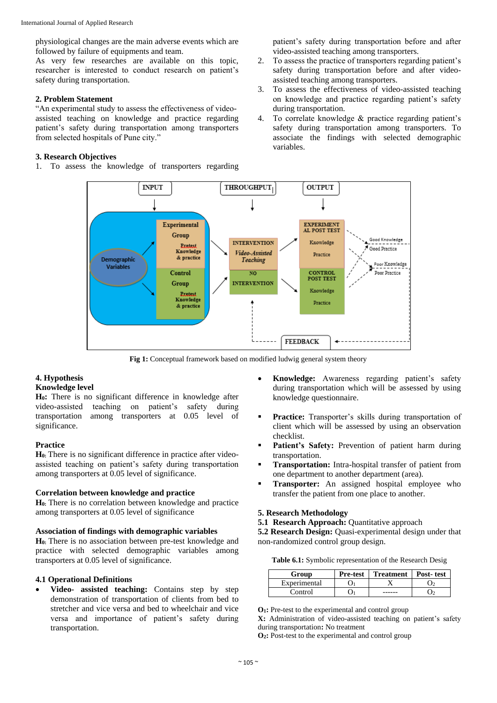physiological changes are the main adverse events which are followed by failure of equipments and team.

As very few researches are available on this topic, researcher is interested to conduct research on patient's safety during transportation.

# **2. Problem Statement**

"An experimental study to assess the effectiveness of videoassisted teaching on knowledge and practice regarding patient's safety during transportation among transporters from selected hospitals of Pune city."

# **3. Research Objectives**

1. To assess the knowledge of transporters regarding

patient's safety during transportation before and after video-assisted teaching among transporters.

- 2. To assess the practice of transporters regarding patient's safety during transportation before and after videoassisted teaching among transporters.
- 3. To assess the effectiveness of video-assisted teaching on knowledge and practice regarding patient's safety during transportation.
- 4. To correlate knowledge & practice regarding patient's safety during transportation among transporters. To associate the findings with selected demographic variables.



**Fig 1:** Conceptual framework based on modified ludwig general system theory

# **4. Hypothesis Knowledge level**

**H0:** There is no significant difference in knowledge after video-assisted teaching on patient's safety during transportation among transporters at 0.05 level of significance.

# **Practice**

**H0:** There is no significant difference in practice after videoassisted teaching on patient's safety during transportation among transporters at 0.05 level of significance.

#### **Correlation between knowledge and practice**

**H0:** There is no correlation between knowledge and practice among transporters at 0.05 level of significance

#### **Association of findings with demographic variables**

**H0:** There is no association between pre-test knowledge and practice with selected demographic variables among transporters at 0.05 level of significance.

# **4.1 Operational Definitions**

 **Video- assisted teaching:** Contains step by step demonstration of transportation of clients from bed to stretcher and vice versa and bed to wheelchair and vice versa and importance of patient's safety during transportation.

- **Knowledge:** Awareness regarding patient's safety during transportation which will be assessed by using knowledge questionnaire.
- **Practice:** Transporter's skills during transportation of client which will be assessed by using an observation checklist.
- **Patient's Safety:** Prevention of patient harm during transportation.
- **Transportation:** Intra-hospital transfer of patient from one department to another department (area).
- **Transporter:** An assigned hospital employee who transfer the patient from one place to another.

# **5. Research Methodology**

**5.1 Research Approach:** Quantitative approach

**5.2 Research Design:** Quasi-experimental design under that non-randomized control group design.

|  |  | Table 6.1: Symbolic representation of the Research Desig |  |  |  |
|--|--|----------------------------------------------------------|--|--|--|
|--|--|----------------------------------------------------------|--|--|--|

| Group        | <b>Pre-test</b> | Treatment   Post-test |  |
|--------------|-----------------|-----------------------|--|
| Experimental |                 |                       |  |
| Control      |                 |                       |  |

**O1:** Pre-test to the experimental and control group

**X:** Administration of video-assisted teaching on patient's safety during transportation**:** No treatment

**O2:** Post-test to the experimental and control group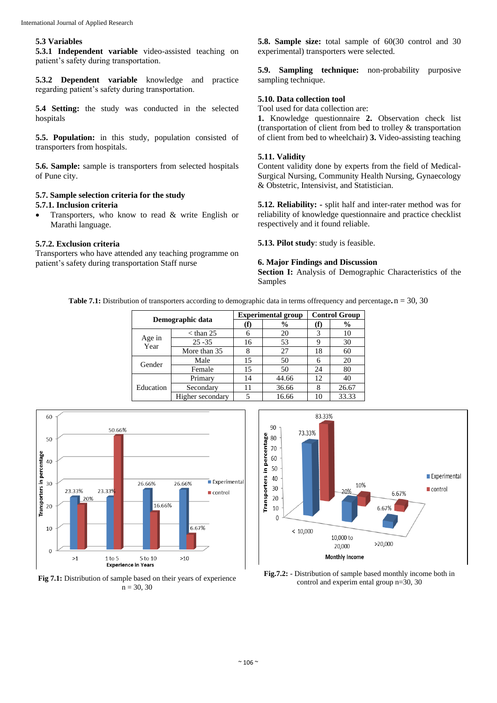#### **5.3 Variables**

**5.3.1 Independent variable** video-assisted teaching on patient's safety during transportation.

**5.3.2 Dependent variable** knowledge and practice regarding patient's safety during transportation.

**5.4 Setting:** the study was conducted in the selected hospitals

**5.5. Population:** in this study, population consisted of transporters from hospitals.

**5.6. Sample:** sample is transporters from selected hospitals of Pune city.

#### **5.7. Sample selection criteria for the study 5.7.1. Inclusion criteria**

 Transporters, who know to read & write English or Marathi language.

# **5.7.2. Exclusion criteria**

Transporters who have attended any teaching programme on patient's safety during transportation Staff nurse

**5.8. Sample size:** total sample of 60(30 control and 30 experimental) transporters were selected.

**5.9. Sampling technique:** non-probability purposive sampling technique.

# **5.10. Data collection tool**

Tool used for data collection are:

**1.** Knowledge questionnaire **2.** Observation check list (transportation of client from bed to trolley & transportation of client from bed to wheelchair) **3.** Video-assisting teaching

#### **5.11. Validity**

Content validity done by experts from the field of Medical-Surgical Nursing, Community Health Nursing, Gynaecology & Obstetric, Intensivist, and Statistician.

**5.12. Reliability: -** split half and inter-rater method was for reliability of knowledge questionnaire and practice checklist respectively and it found reliable.

**5.13. Pilot study**: study is feasible.

# **6. Major Findings and Discussion**

**Section I:** Analysis of Demographic Characteristics of the Samples

**Table 7.1:** Distribution of transporters according to demographic data in terms offrequency and percentage**.**n = 30, 30

| Demographic data |                  |     | <b>Experimental group</b> | <b>Control Group</b> |       |  |
|------------------|------------------|-----|---------------------------|----------------------|-------|--|
|                  |                  | (f) | $\%$                      | († )                 | %     |  |
|                  | $<$ than 25      | 6   | 20                        | 3                    | 10    |  |
| Age in<br>Year   | $25 - 35$        | 16  | 53                        | 9                    | 30    |  |
|                  | More than 35     |     | 27                        | 18                   | 60    |  |
| Gender           | Male             | 15  | 50                        |                      | 20    |  |
|                  | Female           | 15  | 50                        | 24                   | 80    |  |
|                  | Primary          | 14  | 44.66                     | 12                   | 40    |  |
| Education        | Secondary        | 11  | 36.66                     |                      | 26.67 |  |
|                  | Higher secondary |     | 16.66                     |                      | 33.33 |  |







**Fig.7.2:** - Distribution of sample based monthly income both in control and experim ental group n=30, 30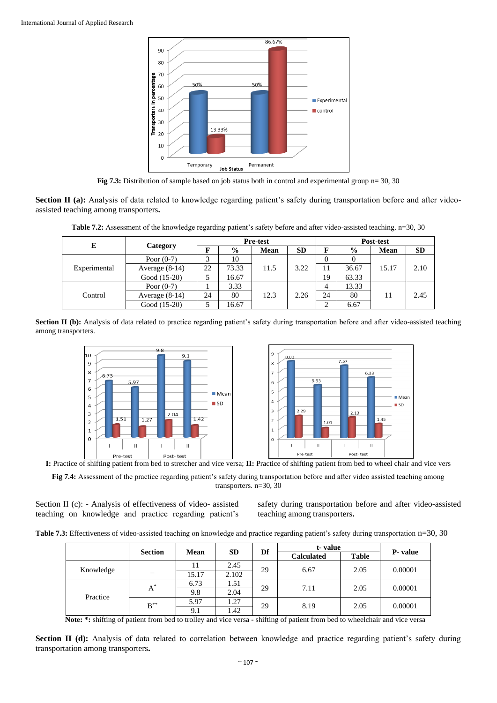

**Fig 7.3:** Distribution of sample based on job status both in control and experimental group n= 30, 30

**Section II (a):** Analysis of data related to knowledge regarding patient's safety during transportation before and after videoassisted teaching among transporters**.**

**Table 7.2:** Assessment of the knowledge regarding patient's safety before and after video-assisted teaching. n=30, 30

| E            |                      | <b>Pre-test</b> |       |               | Post-test   |           |       |               |      |           |
|--------------|----------------------|-----------------|-------|---------------|-------------|-----------|-------|---------------|------|-----------|
|              |                      | Category        | F     | $\frac{6}{9}$ | <b>Mean</b> | <b>SD</b> | F     | $\frac{0}{0}$ | Mean | <b>SD</b> |
|              | Poor $(0-7)$         | 3               | 10    | 11.5          | 3.22        | $\Omega$  |       | 15.17         | 2.10 |           |
| Experimental | Average $(8-14)$     | 22              | 73.33 |               |             |           | 36.67 |               |      |           |
|              | Good (15-20)         |                 | 16.67 |               |             | 19        | 63.33 |               |      |           |
|              | 3.33<br>Poor $(0-7)$ | 4               | 13.33 |               |             |           |       |               |      |           |
| Control      | Average $(8-14)$     | 24              | 80    | 12.3          | 24<br>2.26  |           | 80    | 11            | 2.45 |           |
|              | Good (15-20)         |                 | 16.67 |               |             | ◠         | 6.67  |               |      |           |

**Section II (b):** Analysis of data related to practice regarding patient's safety during transportation before and after video-assisted teaching among transporters.



**I:** Practice of shifting patient from bed to stretcher and vice versa; **II:** Practice of shifting patient from bed to wheel chair and vice vers

**Fig 7.4:** Assessment of the practice regarding patient's safety during transportation before and after video assisted teaching among transporters. n=30, 30

Section II (c): - Analysis of effectiveness of video- assisted teaching on knowledge and practice regarding patient's safety during transportation before and after video-assisted teaching among transporters**.**

|           |                | Mean  |           | Df | t-value           |                 |          |
|-----------|----------------|-------|-----------|----|-------------------|-----------------|----------|
|           | <b>Section</b> |       | <b>SD</b> |    | <b>Calculated</b> | <b>Table</b>    | P- value |
|           |                | 11    | 2.45      | 29 | 6.67              | 2.05            | 0.00001  |
| Knowledge |                | 15.17 | 2.102     |    |                   |                 |          |
| Practice  | $A^*$          | 6.73  | 1.51      | 29 | 7.11              | 0.00001<br>2.05 |          |
|           |                | 9.8   | 2.04      |    |                   |                 |          |
|           | $B^{\ast\ast}$ | 5.97  | 1.27      | 29 | 8.19              | 2.05            | 0.00001  |
|           |                | 9.1   | 1.42      |    |                   |                 |          |

**Note: \*:** shifting of patient from bed to trolley and vice versa - shifting of patient from bed to wheelchair and vice versa

**Section II (d):** Analysis of data related to correlation between knowledge and practice regarding patient's safety during transportation among transporters**.**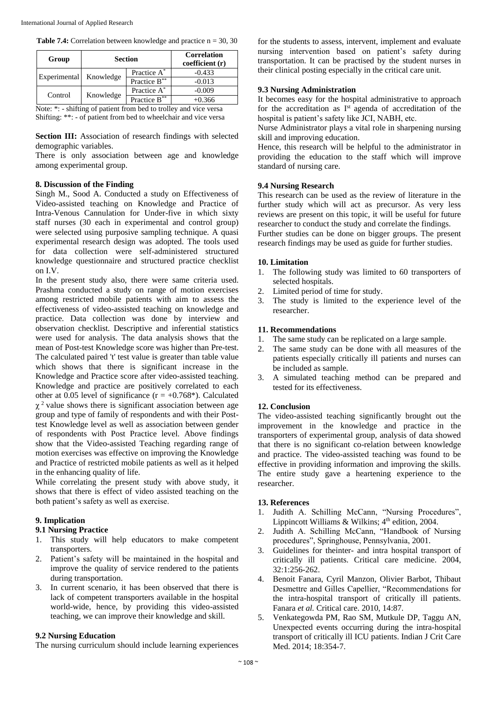|  |  | <b>Table 7.4:</b> Correlation between knowledge and practice $n = 30, 30$ |  |  |
|--|--|---------------------------------------------------------------------------|--|--|
|  |  |                                                                           |  |  |

| Group        |           | <b>Section</b>          | <b>Correlation</b><br>coefficient (r) |
|--------------|-----------|-------------------------|---------------------------------------|
| Experimental |           | Practice A <sup>*</sup> | $-0.433$                              |
|              | Knowledge | Practice B**            | $-0.013$                              |
| Control      |           | Practice A*             | $-0.009$                              |
|              | Knowledge | Practice B**            | +0.366                                |

Note: \*: - shifting of patient from bed to trolley and vice versa Shifting: \*\*: - of patient from bed to wheelchair and vice versa

**Section III:** Association of research findings with selected demographic variables.

There is only association between age and knowledge among experimental group.

# **8. Discussion of the Finding**

Singh M., Sood A. Conducted a study on Effectiveness of Video-assisted teaching on Knowledge and Practice of Intra-Venous Cannulation for Under-five in which sixty staff nurses (30 each in experimental and control group) were selected using purposive sampling technique. A quasi experimental research design was adopted. The tools used for data collection were self-administered structured knowledge questionnaire and structured practice checklist on I.V.

In the present study also, there were same criteria used. Prashma conducted a study on range of motion exercises among restricted mobile patients with aim to assess the effectiveness of video-assisted teaching on knowledge and practice. Data collection was done by interview and observation checklist. Descriptive and inferential statistics were used for analysis. The data analysis shows that the mean of Post-test Knowledge score was higher than Pre-test. The calculated paired 't' test value is greater than table value which shows that there is significant increase in the Knowledge and Practice score after video-assisted teaching. Knowledge and practice are positively correlated to each other at 0.05 level of significance ( $r = +0.768$ <sup>\*</sup>). Calculated  $\chi^2$  value shows there is significant association between age group and type of family of respondents and with their Posttest Knowledge level as well as association between gender of respondents with Post Practice level. Above findings show that the Video-assisted Teaching regarding range of motion exercises was effective on improving the Knowledge and Practice of restricted mobile patients as well as it helped in the enhancing quality of life.

While correlating the present study with above study, it shows that there is effect of video assisted teaching on the both patient's safety as well as exercise.

# **9. Implication**

# **9.1 Nursing Practice**

- 1. This study will help educators to make competent transporters.
- 2. Patient's safety will be maintained in the hospital and improve the quality of service rendered to the patients during transportation.
- 3. In current scenario, it has been observed that there is lack of competent transporters available in the hospital world-wide, hence, by providing this video-assisted teaching, we can improve their knowledge and skill.

# **9.2 Nursing Education**

The nursing curriculum should include learning experiences

for the students to assess, intervent, implement and evaluate nursing intervention based on patient's safety during transportation. It can be practised by the student nurses in their clinical posting especially in the critical care unit.

# **9.3 Nursing Administration**

It becomes easy for the hospital administrative to approach for the accreditation as I<sup>st</sup> agenda of accreditation of the hospital is patient's safety like JCI, NABH, etc.

Nurse Administrator plays a vital role in sharpening nursing skill and improving education.

Hence, this research will be helpful to the administrator in providing the education to the staff which will improve standard of nursing care.

# **9.4 Nursing Research**

This research can be used as the review of literature in the further study which will act as precursor. As very less reviews are present on this topic, it will be useful for future researcher to conduct the study and correlate the findings.

Further studies can be done on bigger groups. The present research findings may be used as guide for further studies.

# **10. Limitation**

- 1. The following study was limited to 60 transporters of selected hospitals.
- 2. Limited period of time for study.
- 3. The study is limited to the experience level of the researcher.

# **11. Recommendations**

- 1. The same study can be replicated on a large sample.
- 2. The same study can be done with all measures of the patients especially critically ill patients and nurses can be included as sample.
- 3. A simulated teaching method can be prepared and tested for its effectiveness.

# **12. Conclusion**

The video-assisted teaching significantly brought out the improvement in the knowledge and practice in the transporters of experimental group, analysis of data showed that there is no significant co-relation between knowledge and practice. The video-assisted teaching was found to be effective in providing information and improving the skills. The entire study gave a heartening experience to the researcher.

#### **13. References**

- 1. Judith A. Schilling McCann, "Nursing Procedures", Lippincott Williams & Wilkins;  $4<sup>th</sup>$  edition, 2004.
- 2. Judith A. Schilling McCann, "Handbook of Nursing procedures", Springhouse, Pennsylvania, 2001.
- 3. Guidelines for theinter- and intra hospital transport of critically ill patients. Critical care medicine. 2004, 32:1:256-262.
- 4. Benoit Fanara, Cyril Manzon, Olivier Barbot, Thibaut Desmettre and Gilles Capellier, "Recommendations for the intra-hospital transport of critically ill patients. Fanara *et al.* Critical care. 2010, 14:87.
- 5. Venkategowda PM, Rao SM, Mutkule DP, Taggu AN, Unexpected events occurring during the intra-hospital transport of critically ill ICU patients. Indian J Crit Care Med. 2014: 18:354-7.